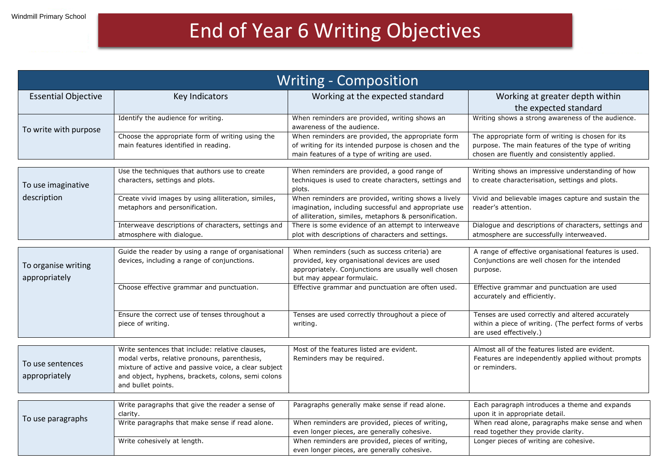## End of Year 6 Writing Objectives

| <b>Writing - Composition</b>         |                                                                                                                                                                                                                                     |                                                                                                                                                                                    |                                                                                                                                                         |  |
|--------------------------------------|-------------------------------------------------------------------------------------------------------------------------------------------------------------------------------------------------------------------------------------|------------------------------------------------------------------------------------------------------------------------------------------------------------------------------------|---------------------------------------------------------------------------------------------------------------------------------------------------------|--|
| <b>Essential Objective</b>           | Key Indicators                                                                                                                                                                                                                      | Working at the expected standard                                                                                                                                                   | Working at greater depth within<br>the expected standard                                                                                                |  |
| To write with purpose                | Identify the audience for writing.                                                                                                                                                                                                  | When reminders are provided, writing shows an<br>awareness of the audience.                                                                                                        | Writing shows a strong awareness of the audience.                                                                                                       |  |
|                                      | Choose the appropriate form of writing using the<br>main features identified in reading.                                                                                                                                            | When reminders are provided, the appropriate form<br>of writing for its intended purpose is chosen and the<br>main features of a type of writing are used.                         | The appropriate form of writing is chosen for its<br>purpose. The main features of the type of writing<br>chosen are fluently and consistently applied. |  |
| To use imaginative<br>description    | Use the techniques that authors use to create<br>characters, settings and plots.                                                                                                                                                    | When reminders are provided, a good range of<br>techniques is used to create characters, settings and<br>plots.                                                                    | Writing shows an impressive understanding of how<br>to create characterisation, settings and plots.                                                     |  |
|                                      | Create vivid images by using alliteration, similes,<br>metaphors and personification.                                                                                                                                               | When reminders are provided, writing shows a lively<br>imagination, including successful and appropriate use<br>of alliteration, similes, metaphors & personification.             | Vivid and believable images capture and sustain the<br>reader's attention.                                                                              |  |
|                                      | Interweave descriptions of characters, settings and<br>atmosphere with dialogue.                                                                                                                                                    | There is some evidence of an attempt to interweave<br>plot with descriptions of characters and settings.                                                                           | Dialogue and descriptions of characters, settings and<br>atmosphere are successfully interweaved.                                                       |  |
| To organise writing<br>appropriately | Guide the reader by using a range of organisational<br>devices, including a range of conjunctions.                                                                                                                                  | When reminders (such as success criteria) are<br>provided, key organisational devices are used<br>appropriately. Conjunctions are usually well chosen<br>but may appear formulaic. | A range of effective organisational features is used.<br>Conjunctions are well chosen for the intended<br>purpose.                                      |  |
|                                      | Choose effective grammar and punctuation.                                                                                                                                                                                           | Effective grammar and punctuation are often used.                                                                                                                                  | Effective grammar and punctuation are used<br>accurately and efficiently.                                                                               |  |
|                                      | Ensure the correct use of tenses throughout a<br>piece of writing.                                                                                                                                                                  | Tenses are used correctly throughout a piece of<br>writing.                                                                                                                        | Tenses are used correctly and altered accurately<br>within a piece of writing. (The perfect forms of verbs<br>are used effectively.)                    |  |
| To use sentences<br>appropriately    | Write sentences that include: relative clauses,<br>modal verbs, relative pronouns, parenthesis,<br>mixture of active and passive voice, a clear subject<br>and object, hyphens, brackets, colons, semi colons<br>and bullet points. | Most of the features listed are evident.<br>Reminders may be required.                                                                                                             | Almost all of the features listed are evident.<br>Features are independently applied without prompts<br>or reminders.                                   |  |
| To use paragraphs                    | Write paragraphs that give the reader a sense of<br>clarity.                                                                                                                                                                        | Paragraphs generally make sense if read alone.                                                                                                                                     | Each paragraph introduces a theme and expands<br>upon it in appropriate detail.                                                                         |  |
|                                      | Write paragraphs that make sense if read alone.                                                                                                                                                                                     | When reminders are provided, pieces of writing,<br>even longer pieces, are generally cohesive.                                                                                     | When read alone, paragraphs make sense and when<br>read together they provide clarity.                                                                  |  |
|                                      | Write cohesively at length.                                                                                                                                                                                                         | When reminders are provided, pieces of writing,<br>even longer pieces, are generally cohesive.                                                                                     | Longer pieces of writing are cohesive.                                                                                                                  |  |